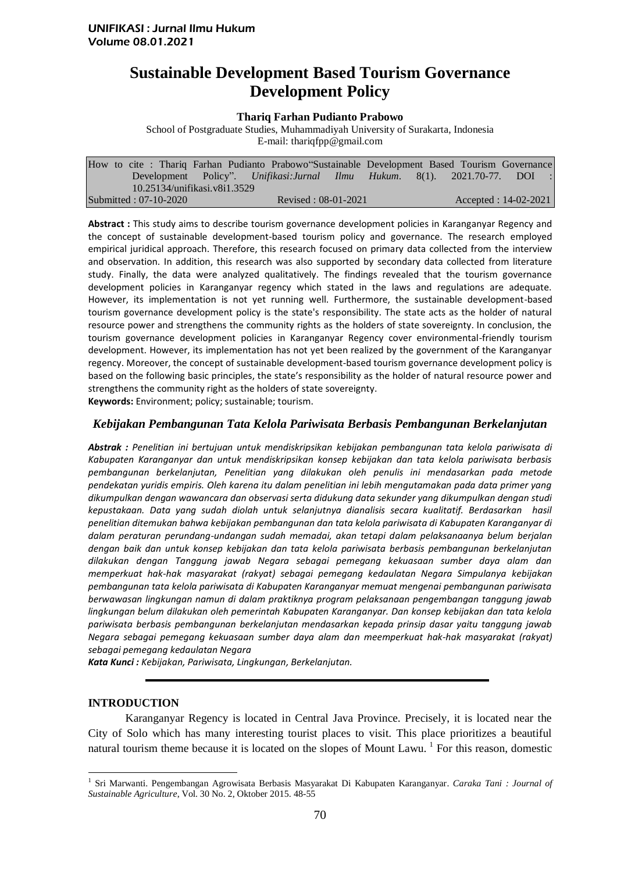# **Sustainable Development Based Tourism Governance Development Policy**

#### **Thariq Farhan Pudianto Prabowo**

School of Postgraduate Studies, Muhammadiyah University of Surakarta, Indonesia E-mail: thariqfpp@gmail.com

|                              |  |  |  |  |  |                     |  |  |  | How to cite: Thariq Farhan Pudianto Prabowo Sustainable Development Based Tourism Governance |
|------------------------------|--|--|--|--|--|---------------------|--|--|--|----------------------------------------------------------------------------------------------|
|                              |  |  |  |  |  |                     |  |  |  | Development Policy". Unifikasi: Jurnal Ilmu Hukum. 8(1). 2021.70-77. DOI :                   |
| 10.25134/unifikasi.v8i1.3529 |  |  |  |  |  |                     |  |  |  |                                                                                              |
| Submitted: 07-10-2020        |  |  |  |  |  | Revised: 08-01-2021 |  |  |  | $Accepted: 14-02-2021$                                                                       |

**Abstract :** This study aims to describe tourism governance development policies in Karanganyar Regency and the concept of sustainable development-based tourism policy and governance. The research employed empirical juridical approach. Therefore, this research focused on primary data collected from the interview and observation. In addition, this research was also supported by secondary data collected from literature study. Finally, the data were analyzed qualitatively. The findings revealed that the tourism governance development policies in Karanganyar regency which stated in the laws and regulations are adequate. However, its implementation is not yet running well. Furthermore, the sustainable development-based tourism governance development policy is the state's responsibility. The state acts as the holder of natural resource power and strengthens the community rights as the holders of state sovereignty. In conclusion, the tourism governance development policies in Karanganyar Regency cover environmental-friendly tourism development. However, its implementation has not yet been realized by the government of the Karanganyar regency. Moreover, the concept of sustainable development-based tourism governance development policy is based on the following basic principles, the state's responsibility as the holder of natural resource power and strengthens the community right as the holders of state sovereignty.

**Keywords:** Environment; policy; sustainable; tourism.

## *Kebijakan Pembangunan Tata Kelola Pariwisata Berbasis Pembangunan Berkelanjutan*

*Abstrak : Penelitian ini bertujuan untuk mendiskripsikan kebijakan pembangunan tata kelola pariwisata di Kabupaten Karanganyar dan untuk mendiskripsikan konsep kebijakan dan tata kelola pariwisata berbasis pembangunan berkelanjutan, Penelitian yang dilakukan oleh penulis ini mendasarkan pada metode pendekatan yuridis empiris. Oleh karena itu dalam penelitian ini lebih mengutamakan pada data primer yang dikumpulkan dengan wawancara dan observasi serta didukung data sekunder yang dikumpulkan dengan studi kepustakaan. Data yang sudah diolah untuk selanjutnya dianalisis secara kualitatif. Berdasarkan hasil penelitian ditemukan bahwa kebijakan pembangunan dan tata kelola pariwisata di Kabupaten Karanganyar di dalam peraturan perundang-undangan sudah memadai, akan tetapi dalam pelaksanaanya belum berjalan dengan baik dan untuk konsep kebijakan dan tata kelola pariwisata berbasis pembangunan berkelanjutan dilakukan dengan Tanggung jawab Negara sebagai pemegang kekuasaan sumber daya alam dan memperkuat hak-hak masyarakat (rakyat) sebagai pemegang kedaulatan Negara Simpulanya kebijakan pembangunan tata kelola pariwisata di Kabupaten Karanganyar memuat mengenai pembangunan pariwisata berwawasan lingkungan namun di dalam praktiknya program pelaksanaan pengembangan tanggung jawab lingkungan belum dilakukan oleh pemerintah Kabupaten Karanganyar. Dan konsep kebijakan dan tata kelola pariwisata berbasis pembangunan berkelanjutan mendasarkan kepada prinsip dasar yaitu tanggung jawab Negara sebagai pemegang kekuasaan sumber daya alam dan meemperkuat hak-hak masyarakat (rakyat) sebagai pemegang kedaulatan Negara*

*Kata Kunci : Kebijakan, Pariwisata, Lingkungan, Berkelanjutan.*

# **INTRODUCTION**

 $\overline{a}$ 

Karanganyar Regency is located in Central Java Province. Precisely, it is located near the City of Solo which has many interesting tourist places to visit. This place prioritizes a beautiful natural tourism theme because it is located on the slopes of Mount Lawu.<sup>1</sup> For this reason, domestic

<sup>1</sup> Sri Marwanti. Pengembangan Agrowisata Berbasis Masyarakat Di Kabupaten Karanganyar. *Caraka Tani : Journal of Sustainable Agriculture*, Vol. 30 No. 2, Oktober 2015. 48-55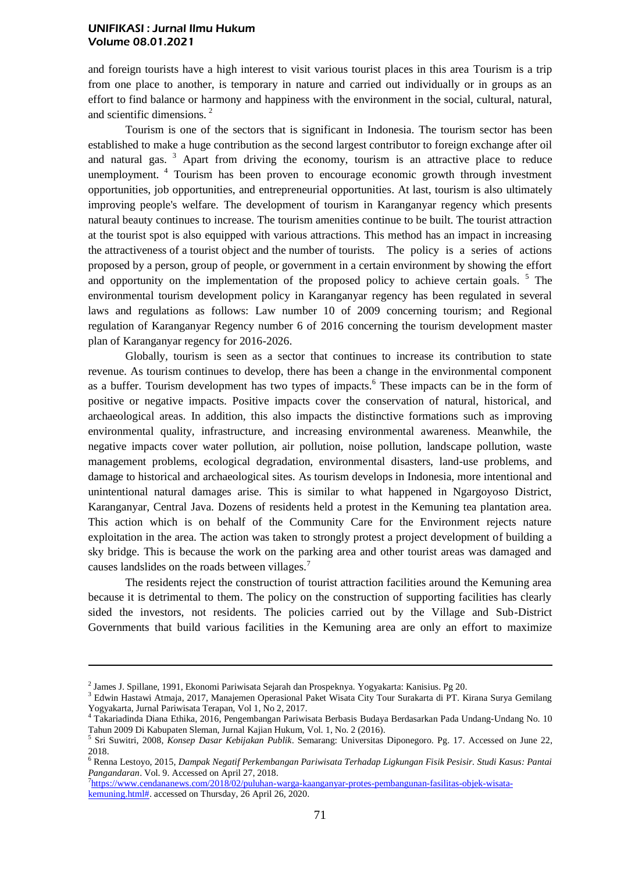and foreign tourists have a high interest to visit various tourist places in this area Tourism is a trip from one place to another, is temporary in nature and carried out individually or in groups as an effort to find balance or harmony and happiness with the environment in the social, cultural, natural, and scientific dimensions. <sup>2</sup>

Tourism is one of the sectors that is significant in Indonesia. The tourism sector has been established to make a huge contribution as the second largest contributor to foreign exchange after oil and natural gas.<sup>3</sup> Apart from driving the economy, tourism is an attractive place to reduce unemployment.<sup>4</sup> Tourism has been proven to encourage economic growth through investment opportunities, job opportunities, and entrepreneurial opportunities. At last, tourism is also ultimately improving people's welfare. The development of tourism in Karanganyar regency which presents natural beauty continues to increase. The tourism amenities continue to be built. The tourist attraction at the tourist spot is also equipped with various attractions. This method has an impact in increasing the attractiveness of a tourist object and the number of tourists. The policy is a series of actions proposed by a person, group of people, or government in a certain environment by showing the effort and opportunity on the implementation of the proposed policy to achieve certain goals.  $5$  The environmental tourism development policy in Karanganyar regency has been regulated in several laws and regulations as follows: Law number 10 of 2009 concerning tourism; and Regional regulation of Karanganyar Regency number 6 of 2016 concerning the tourism development master plan of Karanganyar regency for 2016-2026.

Globally, tourism is seen as a sector that continues to increase its contribution to state revenue. As tourism continues to develop, there has been a change in the environmental component as a buffer. Tourism development has two types of impacts.<sup>6</sup> These impacts can be in the form of positive or negative impacts. Positive impacts cover the conservation of natural, historical, and archaeological areas. In addition, this also impacts the distinctive formations such as improving environmental quality, infrastructure, and increasing environmental awareness. Meanwhile, the negative impacts cover water pollution, air pollution, noise pollution, landscape pollution, waste management problems, ecological degradation, environmental disasters, land-use problems, and damage to historical and archaeological sites. As tourism develops in Indonesia, more intentional and unintentional natural damages arise. This is similar to what happened in Ngargoyoso District, Karanganyar, Central Java. Dozens of residents held a protest in the Kemuning tea plantation area. This action which is on behalf of the Community Care for the Environment rejects nature exploitation in the area. The action was taken to strongly protest a project development of building a sky bridge. This is because the work on the parking area and other tourist areas was damaged and causes landslides on the roads between villages.<sup>7</sup>

The residents reject the construction of tourist attraction facilities around the Kemuning area because it is detrimental to them. The policy on the construction of supporting facilities has clearly sided the investors, not residents. The policies carried out by the Village and Sub-District Governments that build various facilities in the Kemuning area are only an effort to maximize

 $\overline{a}$ 

<sup>&</sup>lt;sup>2</sup> James J. Spillane, 1991, Ekonomi Pariwisata Sejarah dan Prospeknya. Yogyakarta: Kanisius. Pg 20.

<sup>3</sup> Edwin Hastawi Atmaja, 2017, Manajemen Operasional Paket Wisata City Tour Surakarta di PT. Kirana Surya Gemilang Yogyakarta, Jurnal Pariwisata Terapan, Vol 1, No 2, 2017.

<sup>4</sup> Takariadinda Diana Ethika, 2016, Pengembangan Pariwisata Berbasis Budaya Berdasarkan Pada Undang-Undang No. 10 Tahun 2009 Di Kabupaten Sleman, Jurnal Kajian Hukum, Vol. 1, No. 2 (2016).

<sup>5</sup> Sri Suwitri, 2008, *Konsep Dasar Kebijakan Publik*. Semarang: Universitas Diponegoro. Pg. 17. Accessed on June 22, 2018.

<sup>6</sup> Renna Lestoyo, 2015, *Dampak Negatif Perkembangan Pariwisata Terhadap Ligkungan Fisik Pesisir. Studi Kasus: Pantai Pangandaran*. Vol. 9. Accessed on April 27, 2018.

<sup>7</sup> [https://www.cendananews.com/2018/02/puluhan-warga-kaanganyar-protes-pembangunan-fasilitas-objek-wisata](https://www.cendananews.com/2018/02/puluhan-warga-kaanganyar-protes-pembangunan-fasilitas-objek-wisata-kemuning.html)[kemuning.html#.](https://www.cendananews.com/2018/02/puluhan-warga-kaanganyar-protes-pembangunan-fasilitas-objek-wisata-kemuning.html) accessed on Thursday, 26 April 26, 2020.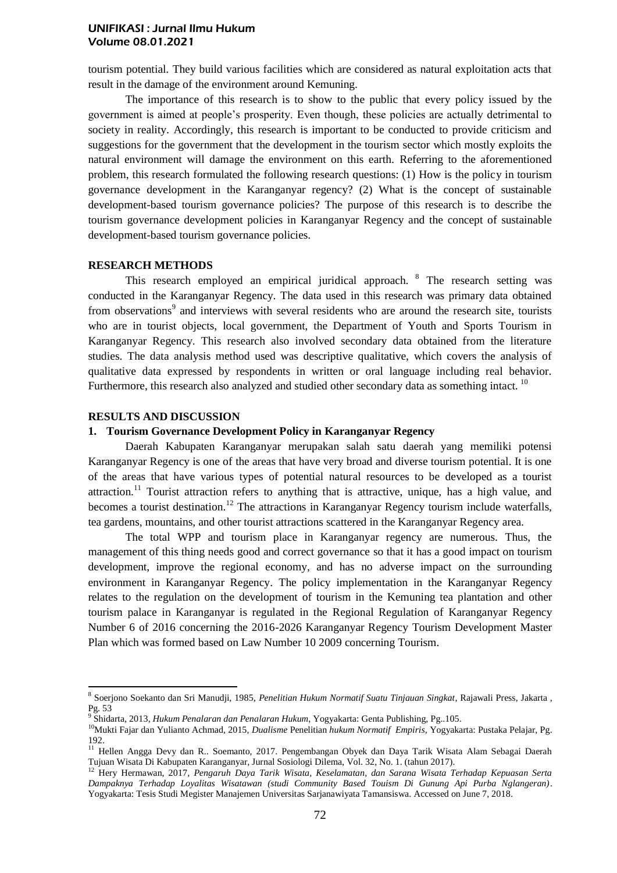tourism potential. They build various facilities which are considered as natural exploitation acts that result in the damage of the environment around Kemuning.

The importance of this research is to show to the public that every policy issued by the government is aimed at people's prosperity. Even though, these policies are actually detrimental to society in reality. Accordingly, this research is important to be conducted to provide criticism and suggestions for the government that the development in the tourism sector which mostly exploits the natural environment will damage the environment on this earth. Referring to the aforementioned problem, this research formulated the following research questions: (1) How is the policy in tourism governance development in the Karanganyar regency? (2) What is the concept of sustainable development-based tourism governance policies? The purpose of this research is to describe the tourism governance development policies in Karanganyar Regency and the concept of sustainable development-based tourism governance policies.

## **RESEARCH METHODS**

This research employed an empirical juridical approach. <sup>8</sup> The research setting was conducted in the Karanganyar Regency. The data used in this research was primary data obtained from observations<sup>9</sup> and interviews with several residents who are around the research site, tourists who are in tourist objects, local government, the Department of Youth and Sports Tourism in Karanganyar Regency. This research also involved secondary data obtained from the literature studies. The data analysis method used was descriptive qualitative, which covers the analysis of qualitative data expressed by respondents in written or oral language including real behavior. Furthermore, this research also analyzed and studied other secondary data as something intact. <sup>10</sup>

## **RESULTS AND DISCUSSION**

## **1. Tourism Governance Development Policy in Karanganyar Regency**

Daerah Kabupaten Karanganyar merupakan salah satu daerah yang memiliki potensi Karanganyar Regency is one of the areas that have very broad and diverse tourism potential. It is one of the areas that have various types of potential natural resources to be developed as a tourist attraction.<sup>11</sup> Tourist attraction refers to anything that is attractive, unique, has a high value, and becomes a tourist destination.<sup>12</sup> The attractions in Karanganyar Regency tourism include waterfalls, tea gardens, mountains, and other tourist attractions scattered in the Karanganyar Regency area.

The total WPP and tourism place in Karanganyar regency are numerous. Thus, the management of this thing needs good and correct governance so that it has a good impact on tourism development, improve the regional economy, and has no adverse impact on the surrounding environment in Karanganyar Regency. The policy implementation in the Karanganyar Regency relates to the regulation on the development of tourism in the Kemuning tea plantation and other tourism palace in Karanganyar is regulated in the Regional Regulation of Karanganyar Regency Number 6 of 2016 concerning the 2016-2026 Karanganyar Regency Tourism Development Master Plan which was formed based on Law Number 10 2009 concerning Tourism.

 8 Soerjono Soekanto dan Sri Manudji, 1985, *Penelitian Hukum Normatif Suatu Tinjauan Singkat*, Rajawali Press, Jakarta , Pg. 53

<sup>9</sup> Shidarta, 2013*, Hukum Penalaran dan Penalaran Hukum*, Yogyakarta: Genta Publishing, Pg..105.

<sup>10</sup>Mukti Fajar dan Yulianto Achmad, 2015, *Dualisme* Penelitian *hukum Normatif Empiris,* Yogyakarta: Pustaka Pelajar, Pg. 192.

<sup>&</sup>lt;sup>11</sup> Hellen Angga Devy dan R.. Soemanto, 2017. Pengembangan Obyek dan Daya Tarik Wisata Alam Sebagai Daerah Tujuan Wisata Di Kabupaten Karanganyar, Jurnal Sosiologi Dilema, Vol. 32, No. 1. (tahun 2017).

<sup>12</sup> Hery Hermawan, 2017, *Pengaruh Daya Tarik Wisata, Keselamatan, dan Sarana Wisata Terhadap Kepuasan Serta Dampaknya Terhadap Loyalitas Wisatawan (studi Community Based Touism Di Gunung Api Purba Nglangeran)*. Yogyakarta: Tesis Studi Megister Manajemen Universitas Sarjanawiyata Tamansiswa. Accessed on June 7, 2018.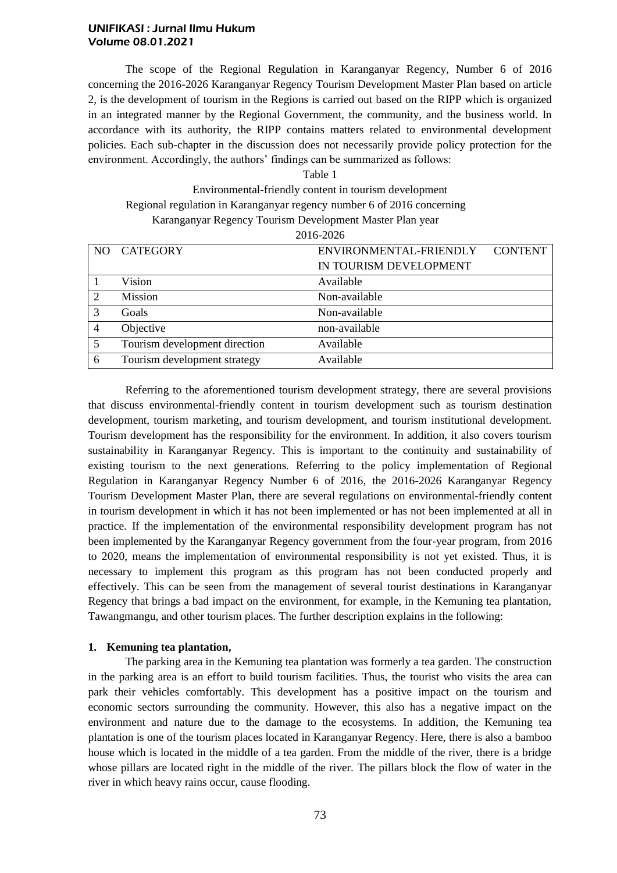The scope of the Regional Regulation in Karanganyar Regency, Number 6 of 2016 concerning the 2016-2026 Karanganyar Regency Tourism Development Master Plan based on article 2, is the development of tourism in the Regions is carried out based on the RIPP which is organized in an integrated manner by the Regional Government, the community, and the business world. In accordance with its authority, the RIPP contains matters related to environmental development policies. Each sub-chapter in the discussion does not necessarily provide policy protection for the environment. Accordingly, the authors' findings can be summarized as follows:

| Table 1                                                                |
|------------------------------------------------------------------------|
| Environmental-friendly content in tourism development                  |
| Regional regulation in Karanganyar regency number 6 of 2016 concerning |
| Karanganyar Regency Tourism Development Master Plan year               |
| 2016-2026                                                              |

| 2010 2020 |                               |                                          |  |  |  |  |  |  |  |
|-----------|-------------------------------|------------------------------------------|--|--|--|--|--|--|--|
| NO.       | <b>CATEGORY</b>               | <b>CONTENT</b><br>ENVIRONMENTAL-FRIENDLY |  |  |  |  |  |  |  |
|           |                               | IN TOURISM DEVELOPMENT                   |  |  |  |  |  |  |  |
|           | Vision                        | Available                                |  |  |  |  |  |  |  |
|           | Mission                       | Non-available                            |  |  |  |  |  |  |  |
|           | Goals                         | Non-available                            |  |  |  |  |  |  |  |
|           | Objective                     | non-available                            |  |  |  |  |  |  |  |
| 5         | Tourism development direction | Available                                |  |  |  |  |  |  |  |
| 6         | Tourism development strategy  | Available                                |  |  |  |  |  |  |  |
|           |                               |                                          |  |  |  |  |  |  |  |

Referring to the aforementioned tourism development strategy, there are several provisions that discuss environmental-friendly content in tourism development such as tourism destination development, tourism marketing, and tourism development, and tourism institutional development. Tourism development has the responsibility for the environment. In addition, it also covers tourism sustainability in Karanganyar Regency. This is important to the continuity and sustainability of existing tourism to the next generations. Referring to the policy implementation of Regional Regulation in Karanganyar Regency Number 6 of 2016, the 2016-2026 Karanganyar Regency Tourism Development Master Plan, there are several regulations on environmental-friendly content in tourism development in which it has not been implemented or has not been implemented at all in practice. If the implementation of the environmental responsibility development program has not been implemented by the Karanganyar Regency government from the four-year program, from 2016 to 2020, means the implementation of environmental responsibility is not yet existed. Thus, it is necessary to implement this program as this program has not been conducted properly and effectively. This can be seen from the management of several tourist destinations in Karanganyar Regency that brings a bad impact on the environment, for example, in the Kemuning tea plantation, Tawangmangu, and other tourism places. The further description explains in the following:

# **1. Kemuning tea plantation,**

The parking area in the Kemuning tea plantation was formerly a tea garden. The construction in the parking area is an effort to build tourism facilities. Thus, the tourist who visits the area can park their vehicles comfortably. This development has a positive impact on the tourism and economic sectors surrounding the community. However, this also has a negative impact on the environment and nature due to the damage to the ecosystems. In addition, the Kemuning tea plantation is one of the tourism places located in Karanganyar Regency. Here, there is also a bamboo house which is located in the middle of a tea garden. From the middle of the river, there is a bridge whose pillars are located right in the middle of the river. The pillars block the flow of water in the river in which heavy rains occur, cause flooding.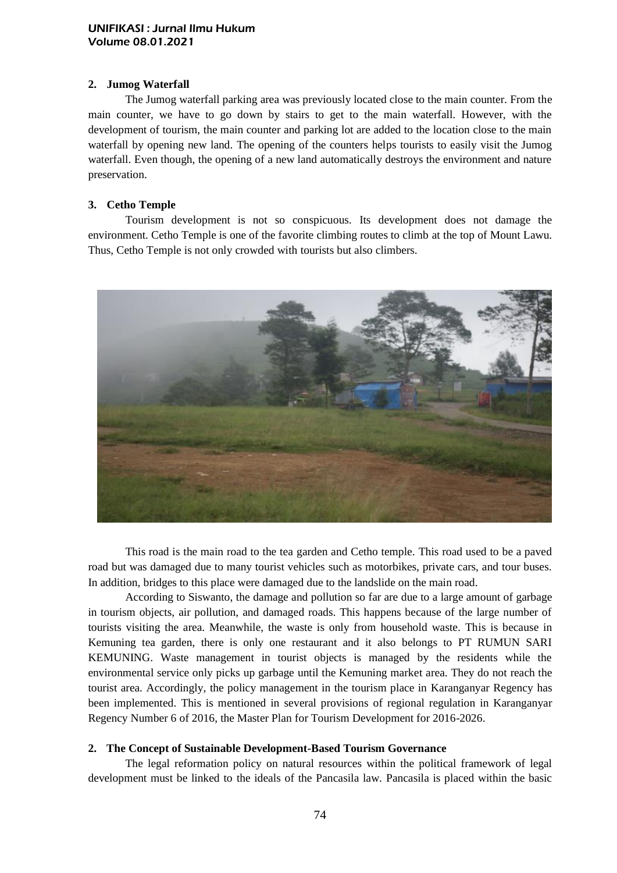# **2. Jumog Waterfall**

The Jumog waterfall parking area was previously located close to the main counter. From the main counter, we have to go down by stairs to get to the main waterfall. However, with the development of tourism, the main counter and parking lot are added to the location close to the main waterfall by opening new land. The opening of the counters helps tourists to easily visit the Jumog waterfall. Even though, the opening of a new land automatically destroys the environment and nature preservation.

# **3. Cetho Temple**

Tourism development is not so conspicuous. Its development does not damage the environment. Cetho Temple is one of the favorite climbing routes to climb at the top of Mount Lawu. Thus, Cetho Temple is not only crowded with tourists but also climbers.



This road is the main road to the tea garden and Cetho temple. This road used to be a paved road but was damaged due to many tourist vehicles such as motorbikes, private cars, and tour buses. In addition, bridges to this place were damaged due to the landslide on the main road.

According to Siswanto, the damage and pollution so far are due to a large amount of garbage in tourism objects, air pollution, and damaged roads. This happens because of the large number of tourists visiting the area. Meanwhile, the waste is only from household waste. This is because in Kemuning tea garden, there is only one restaurant and it also belongs to PT RUMUN SARI KEMUNING. Waste management in tourist objects is managed by the residents while the environmental service only picks up garbage until the Kemuning market area. They do not reach the tourist area. Accordingly, the policy management in the tourism place in Karanganyar Regency has been implemented. This is mentioned in several provisions of regional regulation in Karanganyar Regency Number 6 of 2016, the Master Plan for Tourism Development for 2016-2026.

# **2. The Concept of Sustainable Development-Based Tourism Governance**

The legal reformation policy on natural resources within the political framework of legal development must be linked to the ideals of the Pancasila law. Pancasila is placed within the basic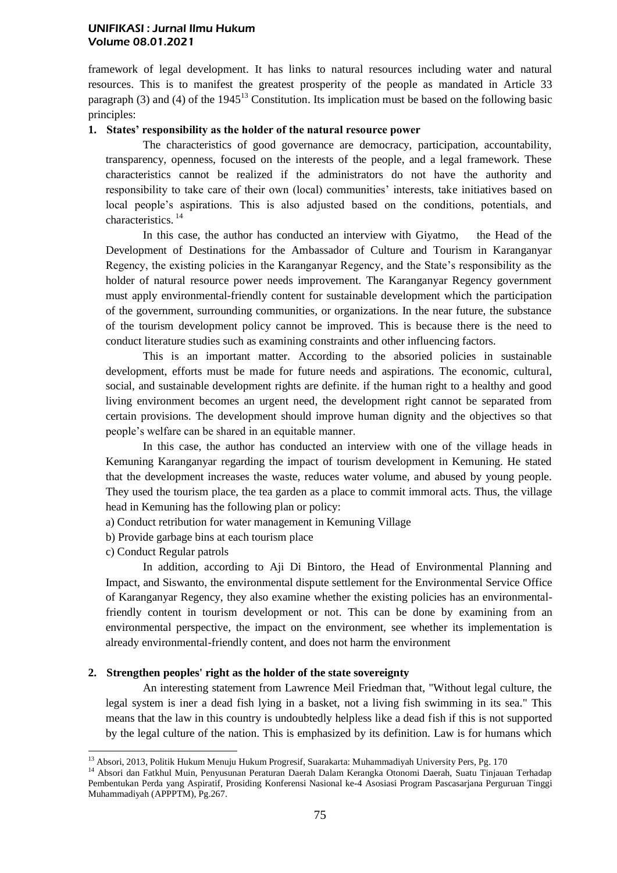framework of legal development. It has links to natural resources including water and natural resources. This is to manifest the greatest prosperity of the people as mandated in Article 33 paragraph (3) and (4) of the 1945<sup>13</sup> Constitution. Its implication must be based on the following basic principles:

# **1. States' responsibility as the holder of the natural resource power**

The characteristics of good governance are democracy, participation, accountability, transparency, openness, focused on the interests of the people, and a legal framework. These characteristics cannot be realized if the administrators do not have the authority and responsibility to take care of their own (local) communities' interests, take initiatives based on local people's aspirations. This is also adjusted based on the conditions, potentials, and characteristics.<sup>14</sup>

In this case, the author has conducted an interview with Giyatmo, the Head of the Development of Destinations for the Ambassador of Culture and Tourism in Karanganyar Regency, the existing policies in the Karanganyar Regency, and the State's responsibility as the holder of natural resource power needs improvement. The Karanganyar Regency government must apply environmental-friendly content for sustainable development which the participation of the government, surrounding communities, or organizations. In the near future, the substance of the tourism development policy cannot be improved. This is because there is the need to conduct literature studies such as examining constraints and other influencing factors.

This is an important matter. According to the absoried policies in sustainable development, efforts must be made for future needs and aspirations. The economic, cultural, social, and sustainable development rights are definite. if the human right to a healthy and good living environment becomes an urgent need, the development right cannot be separated from certain provisions. The development should improve human dignity and the objectives so that people's welfare can be shared in an equitable manner.

In this case, the author has conducted an interview with one of the village heads in Kemuning Karanganyar regarding the impact of tourism development in Kemuning. He stated that the development increases the waste, reduces water volume, and abused by young people. They used the tourism place, the tea garden as a place to commit immoral acts. Thus, the village head in Kemuning has the following plan or policy:

a) Conduct retribution for water management in Kemuning Village

b) Provide garbage bins at each tourism place

c) Conduct Regular patrols

 $\overline{a}$ 

In addition, according to Aji Di Bintoro, the Head of Environmental Planning and Impact, and Siswanto, the environmental dispute settlement for the Environmental Service Office of Karanganyar Regency, they also examine whether the existing policies has an environmentalfriendly content in tourism development or not. This can be done by examining from an environmental perspective, the impact on the environment, see whether its implementation is already environmental-friendly content, and does not harm the environment

# **2. Strengthen peoples' right as the holder of the state sovereignty**

An interesting statement from Lawrence Meil Friedman that, "Without legal culture, the legal system is iner a dead fish lying in a basket, not a living fish swimming in its sea." This means that the law in this country is undoubtedly helpless like a dead fish if this is not supported by the legal culture of the nation. This is emphasized by its definition. Law is for humans which

<sup>&</sup>lt;sup>13</sup> Absori, 2013, Politik Hukum Menuju Hukum Progresif, Suarakarta: Muhammadiyah University Pers, Pg. 170

<sup>14</sup> Absori dan Fatkhul Muin, Penyusunan Peraturan Daerah Dalam Kerangka Otonomi Daerah, Suatu Tinjauan Terhadap Pembentukan Perda yang Aspiratif, Prosiding Konferensi Nasional ke-4 Asosiasi Program Pascasarjana Perguruan Tinggi Muhammadiyah (APPPTM), Pg.267.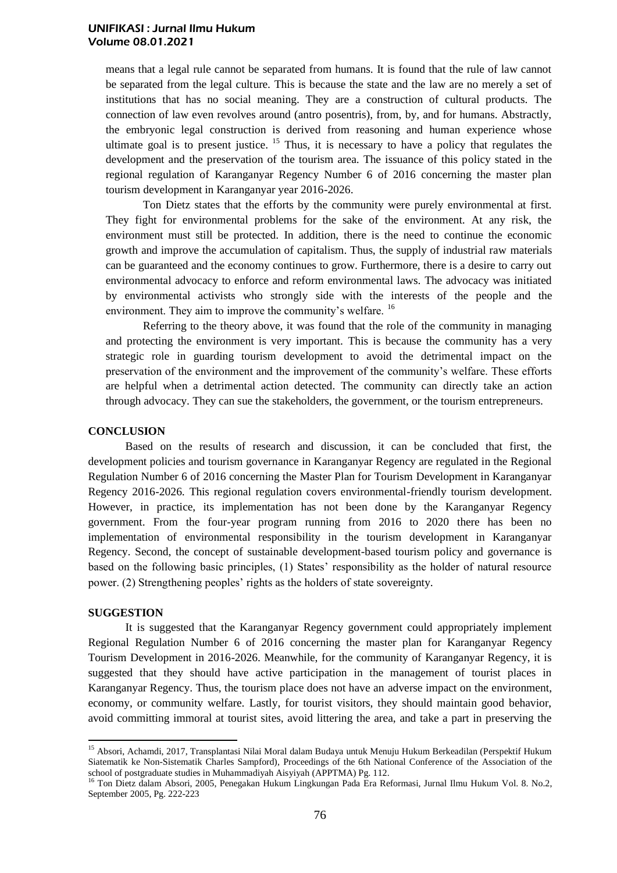means that a legal rule cannot be separated from humans. It is found that the rule of law cannot be separated from the legal culture. This is because the state and the law are no merely a set of institutions that has no social meaning. They are a construction of cultural products. The connection of law even revolves around (antro posentris), from, by, and for humans. Abstractly, the embryonic legal construction is derived from reasoning and human experience whose ultimate goal is to present justice.  $15$  Thus, it is necessary to have a policy that regulates the development and the preservation of the tourism area. The issuance of this policy stated in the regional regulation of Karanganyar Regency Number 6 of 2016 concerning the master plan tourism development in Karanganyar year 2016-2026.

Ton Dietz states that the efforts by the community were purely environmental at first. They fight for environmental problems for the sake of the environment. At any risk, the environment must still be protected. In addition, there is the need to continue the economic growth and improve the accumulation of capitalism. Thus, the supply of industrial raw materials can be guaranteed and the economy continues to grow. Furthermore, there is a desire to carry out environmental advocacy to enforce and reform environmental laws. The advocacy was initiated by environmental activists who strongly side with the interests of the people and the environment. They aim to improve the community's welfare. <sup>16</sup>

Referring to the theory above, it was found that the role of the community in managing and protecting the environment is very important. This is because the community has a very strategic role in guarding tourism development to avoid the detrimental impact on the preservation of the environment and the improvement of the community's welfare. These efforts are helpful when a detrimental action detected. The community can directly take an action through advocacy. They can sue the stakeholders, the government, or the tourism entrepreneurs.

## **CONCLUSION**

Based on the results of research and discussion, it can be concluded that first, the development policies and tourism governance in Karanganyar Regency are regulated in the Regional Regulation Number 6 of 2016 concerning the Master Plan for Tourism Development in Karanganyar Regency 2016-2026. This regional regulation covers environmental-friendly tourism development. However, in practice, its implementation has not been done by the Karanganyar Regency government. From the four-year program running from 2016 to 2020 there has been no implementation of environmental responsibility in the tourism development in Karanganyar Regency. Second, the concept of sustainable development-based tourism policy and governance is based on the following basic principles, (1) States' responsibility as the holder of natural resource power. (2) Strengthening peoples' rights as the holders of state sovereignty.

#### **SUGGESTION**

 $\overline{a}$ 

It is suggested that the Karanganyar Regency government could appropriately implement Regional Regulation Number 6 of 2016 concerning the master plan for Karanganyar Regency Tourism Development in 2016-2026. Meanwhile, for the community of Karanganyar Regency, it is suggested that they should have active participation in the management of tourist places in Karanganyar Regency. Thus, the tourism place does not have an adverse impact on the environment, economy, or community welfare. Lastly, for tourist visitors, they should maintain good behavior, avoid committing immoral at tourist sites, avoid littering the area, and take a part in preserving the

<sup>&</sup>lt;sup>15</sup> Absori, Achamdi, 2017, Transplantasi Nilai Moral dalam Budaya untuk Menuju Hukum Berkeadilan (Perspektif Hukum Siatematik ke Non-Sistematik Charles Sampford), Proceedings of the 6th National Conference of the Association of the school of postgraduate studies in Muhammadiyah Aisyiyah (APPTMA) Pg. 112.

<sup>16</sup> Ton Dietz dalam Absori, 2005, Penegakan Hukum Lingkungan Pada Era Reformasi, Jurnal Ilmu Hukum Vol. 8. No.2, September 2005, Pg. 222-223